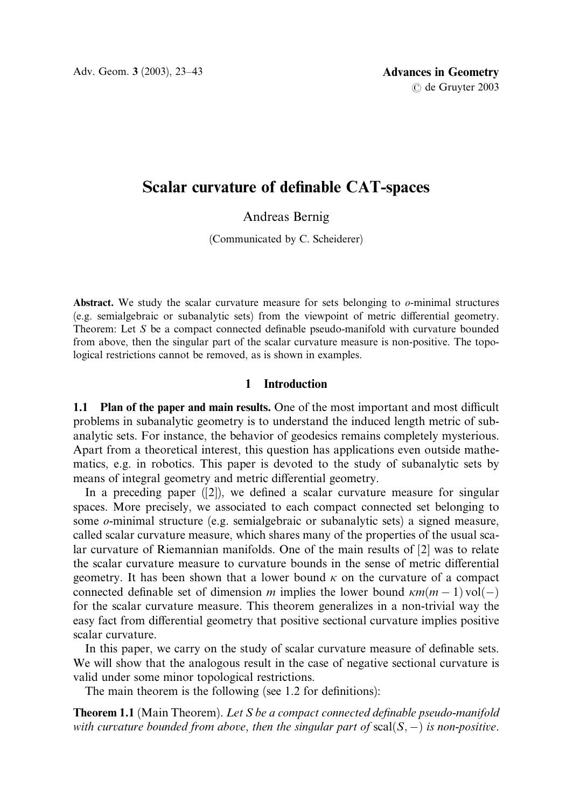Adv. Geom. 3 (2003), 23–43 **Advances in Geometry** 

# Scalar curvature of definable CAT-spaces

Andreas Bernig

(Communicated by C. Scheiderer)

Abstract. We study the scalar curvature measure for sets belonging to  $\sigma$ -minimal structures (e.g. semialgebraic or subanalytic sets) from the viewpoint of metric differential geometry. Theorem: Let S be a compact connected definable pseudo-manifold with curvature bounded from above, then the singular part of the scalar curvature measure is non-positive. The topological restrictions cannot be removed, as is shown in examples.

# 1 Introduction

1.1 Plan of the paper and main results. One of the most important and most difficult problems in subanalytic geometry is to understand the induced length metric of subanalytic sets. For instance, the behavior of geodesics remains completely mysterious. Apart from a theoretical interest, this question has applications even outside mathematics, e.g. in robotics. This paper is devoted to the study of subanalytic sets by means of integral geometry and metric differential geometry.

In a preceding paper  $(2)$ , we defined a scalar curvature measure for singular spaces. More precisely, we associated to each compact connected set belonging to some o-minimal structure (e.g. semialgebraic or subanalytic sets) a signed measure, called scalar curvature measure, which shares many of the properties of the usual scalar curvature of Riemannian manifolds. One of the main results of [2] was to relate the scalar curvature measure to curvature bounds in the sense of metric differential geometry. It has been shown that a lower bound  $\kappa$  on the curvature of a compact connected definable set of dimension m implies the lower bound  $\kappa m(m - 1)\text{vol}(-)$ for the scalar curvature measure. This theorem generalizes in a non-trivial way the easy fact from differential geometry that positive sectional curvature implies positive scalar curvature.

In this paper, we carry on the study of scalar curvature measure of definable sets. We will show that the analogous result in the case of negative sectional curvature is valid under some minor topological restrictions.

The main theorem is the following (see 1.2 for definitions):

**Theorem 1.1** (Main Theorem). Let S be a compact connected definable pseudo-manifold with curvature bounded from above, then the singular part of  $scal(S,-)$  is non-positive.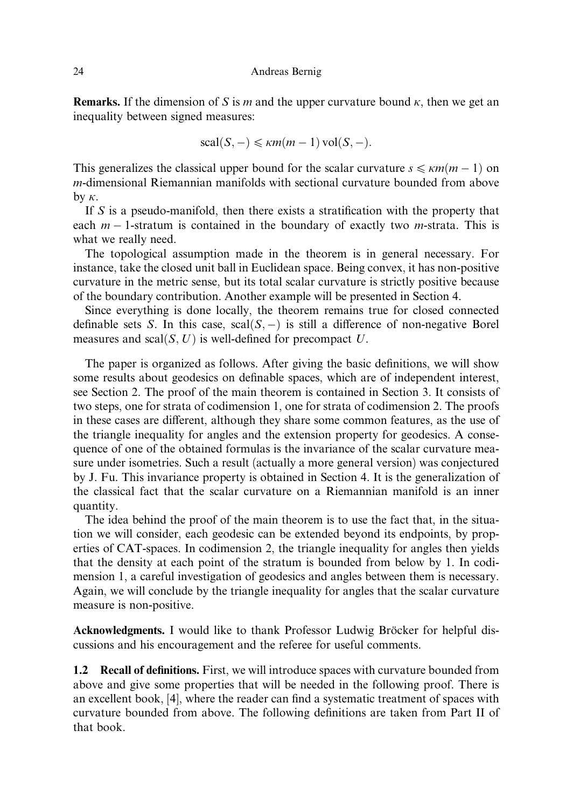**Remarks.** If the dimension of S is m and the upper curvature bound  $\kappa$ , then we get an inequality between signed measures:

$$
scal(S, -) \leq \kappa m(m-1) vol(S, -).
$$

This generalizes the classical upper bound for the scalar curvature  $s \leq \kappa m(m - 1)$  on m-dimensional Riemannian manifolds with sectional curvature bounded from above by  $\kappa$ .

If S is a pseudo-manifold, then there exists a stratification with the property that each  $m-1$ -stratum is contained in the boundary of exactly two *m*-strata. This is what we really need.

The topological assumption made in the theorem is in general necessary. For instance, take the closed unit ball in Euclidean space. Being convex, it has non-positive curvature in the metric sense, but its total scalar curvature is strictly positive because of the boundary contribution. Another example will be presented in Section 4.

Since everything is done locally, the theorem remains true for closed connected definable sets S. In this case,  $\text{scal}(S, -)$  is still a difference of non-negative Borel measures and scal $(S, U)$  is well-defined for precompact U.

The paper is organized as follows. After giving the basic definitions, we will show some results about geodesics on definable spaces, which are of independent interest, see Section 2. The proof of the main theorem is contained in Section 3. It consists of two steps, one for strata of codimension 1, one for strata of codimension 2. The proofs in these cases are different, although they share some common features, as the use of the triangle inequality for angles and the extension property for geodesics. A consequence of one of the obtained formulas is the invariance of the scalar curvature measure under isometries. Such a result (actually a more general version) was conjectured by J. Fu. This invariance property is obtained in Section 4. It is the generalization of the classical fact that the scalar curvature on a Riemannian manifold is an inner quantity.

The idea behind the proof of the main theorem is to use the fact that, in the situation we will consider, each geodesic can be extended beyond its endpoints, by properties of CAT-spaces. In codimension 2, the triangle inequality for angles then yields that the density at each point of the stratum is bounded from below by 1. In codimension 1, a careful investigation of geodesics and angles between them is necessary. Again, we will conclude by the triangle inequality for angles that the scalar curvature measure is non-positive.

Acknowledgments. I would like to thank Professor Ludwig Bröcker for helpful discussions and his encouragement and the referee for useful comments.

1.2 Recall of definitions. First, we will introduce spaces with curvature bounded from above and give some properties that will be needed in the following proof. There is an excellent book, [4], where the reader can find a systematic treatment of spaces with curvature bounded from above. The following definitions are taken from Part II of that book.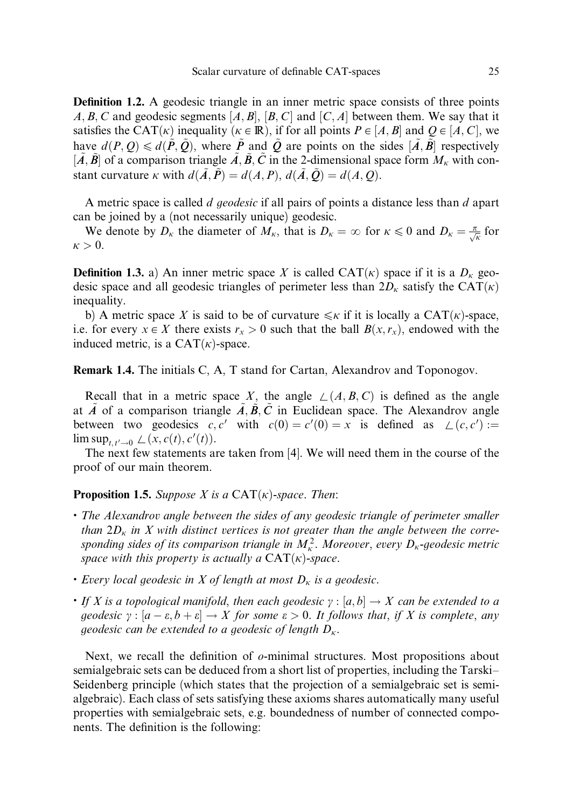Definition 1.2. A geodesic triangle in an inner metric space consists of three points A, B, C and geodesic segments  $[A, B], [B, C]$  and  $[C, A]$  between them. We say that it satisfies the CAT( $\kappa$ ) inequality ( $\kappa \in \mathbb{R}$ ), if for all points  $P \in [A, B]$  and  $Q \in [A, C]$ , we have  $d(P, Q) \le d(\tilde{P}, \tilde{Q})$ , where  $\tilde{P}$  and  $\tilde{Q}$  are points on the sides  $[\tilde{A}, \tilde{B}]$  respectively  $[\tilde{A}, \tilde{B}]$  of a comparison triangle  $\tilde{A}, \tilde{B}, \tilde{C}$  in the 2-dimensional space form  $M_{\kappa}$  with constant curvature k with  $d(\tilde{A}, \tilde{P}) = d(A, P), d(\tilde{A}, \tilde{O}) = d(A, O)$ .

A metric space is called  $d$  geodesic if all pairs of points a distance less than  $d$  apart can be joined by a (not necessarily unique) geodesic.

We denote by  $D_k$  the diameter of  $M_k$ , that is  $D_k = \infty$  for  $k \leq 0$  and  $D_k = \frac{\pi}{\sqrt{k}}$  for  $\kappa > 0$ .

**Definition 1.3.** a) An inner metric space X is called  $CAT(k)$  space if it is a  $D_k$  geodesic space and all geodesic triangles of perimeter less than  $2D_k$  satisfy the CAT $(k)$ inequality.

b) A metric space X is said to be of curvature  $\leq k$  if it is locally a CAT $(k)$ -space, i.e. for every  $x \in X$  there exists  $r_x > 0$  such that the ball  $B(x, r_x)$ , endowed with the induced metric, is a  $CAT(*k*)$ -space.

Remark 1.4. The initials C, A, T stand for Cartan, Alexandrov and Toponogov.

Recall that in a metric space X, the angle  $\angle (A, B, C)$  is defined as the angle at A~ of a comparison triangle  $A, \overline{B}, C$  in Euclidean space. The Alexandrov angle between two geodesics  $c, c'$  with  $c(0) = c'(0) = x$  is defined as  $\angle(c, c') :=$  $\limsup_{t, t' \to 0} \angle(x, c(t), c'(t)).$ 

The next few statements are taken from [4]. We will need them in the course of the proof of our main theorem.

**Proposition 1.5.** Suppose X is a  $CAT(K)$ -space. Then:

- . The Alexandrov angle between the sides of any geodesic triangle of perimeter smaller than  $2D_k$  in X with distinct vertices is not greater than the angle between the corresponding sides of its comparison triangle in  $M_{\kappa}^2$ . Moreover, every  $D_{\kappa}$ -geodesic metric space with this property is actually a  $CAT(\kappa)$ -space.
- Every local geodesic in X of length at most  $D_k$  is a geodesic.
- If X is a topological manifold, then each geodesic  $\gamma : [a, b] \to X$  can be extended to a geodesic  $\gamma : [a - \varepsilon, b + \varepsilon] \to X$  for some  $\varepsilon > 0$ . It follows that, if X is complete, any geodesic can be extended to a geodesic of length  $D_{\kappa}$ .

Next, we recall the definition of  $\sigma$ -minimal structures. Most propositions about semialgebraic sets can be deduced from a short list of properties, including the Tarski– Seidenberg principle (which states that the projection of a semialgebraic set is semialgebraic). Each class of sets satisfying these axioms shares automatically many useful properties with semialgebraic sets, e.g. boundedness of number of connected components. The definition is the following: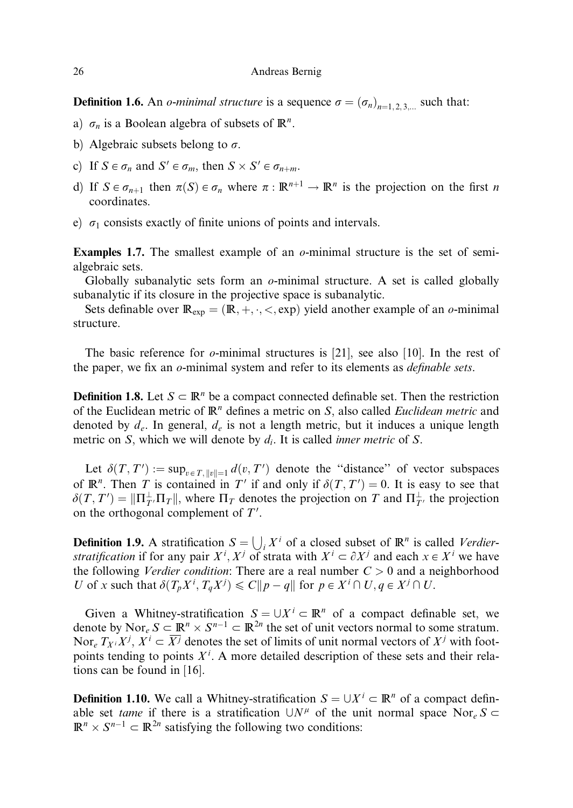**Definition 1.6.** An *o-minimal structure* is a sequence  $\sigma = (\sigma_n)_{n=1,2,3}$  such that:

- a)  $\sigma_n$  is a Boolean algebra of subsets of  $\mathbb{R}^n$ .
- b) Algebraic subsets belong to  $\sigma$ .
- c) If  $S \in \sigma_n$  and  $S' \in \sigma_m$ , then  $S \times S' \in \sigma_{n+m}$ .
- d) If  $S \in \sigma_{n+1}$  then  $\pi(S) \in \sigma_n$  where  $\pi : \mathbb{R}^{n+1} \to \mathbb{R}^n$  is the projection on the first n coordinates.
- e)  $\sigma_1$  consists exactly of finite unions of points and intervals.

**Examples 1.7.** The smallest example of an  $o$ -minimal structure is the set of semialgebraic sets.

Globally subanalytic sets form an  $o$ -minimal structure. A set is called globally subanalytic if its closure in the projective space is subanalytic.

Sets definable over  $\mathbb{R}_{exp} = (\mathbb{R}, +, \cdot, <, exp)$  yield another example of an *o*-minimal structure.

The basic reference for *o*-minimal structures is [21], see also [10]. In the rest of the paper, we fix an  $o$ -minimal system and refer to its elements as *definable sets*.

**Definition 1.8.** Let  $S \subset \mathbb{R}^n$  be a compact connected definable set. Then the restriction of the Euclidean metric of  $\mathbb{R}^n$  defines a metric on S, also called *Euclidean metric* and denoted by  $d_e$ . In general,  $d_e$  is not a length metric, but it induces a unique length metric on S, which we will denote by  $d_i$ . It is called *inner metric* of S.

Let  $\delta(T, T') := \sup_{v \in T, ||v|| = 1} d(v, T')$  denote the "distance" of vector subspaces of  $\mathbb{R}^n$ . Then T is contained in T' if and only if  $\delta(T, T') = 0$ . It is easy to see that  $\delta(T, T') = ||\Pi_{T'}^{\perp} \Pi_T||$ , where  $\Pi_T$  denotes the projection on T and  $\Pi_{T'}^{\perp}$  the projection on the orthogonal complement of  $T'$ .

**Definition 1.9.** A stratification  $S = \bigcup_i X^i$  of a closed subset of  $\mathbb{R}^n$  is called *Verdier*stratification if for any pair  $X^i$ ,  $X^j$  of strata with  $X^i \subset \partial X^j$  and each  $x \in X^i$  we have the following *Verdier condition*: There are a real number  $C > 0$  and a neighborhood U of x such that  $\delta(T_p X^i, T_q X^j) \leq C ||p - q||$  for  $p \in X^i \cap U, q \in X^j \cap U$ .

Given a Whitney-stratification  $S = \bigcup X^{i} \subset \mathbb{R}^{n}$  of a compact definable set, we denote by Nor<sub>e</sub>  $S \subset \mathbb{R}^n \times S^{n-1} \subset \mathbb{R}^{2n}$  the set of unit vectors normal to some stratum. Nor<sub>e</sub>  $T_{X}$ ;  $X^j$ ,  $X^i \subset \overline{X^j}$  denotes the set of limits of unit normal vectors of  $X^j$  with footpoints tending to points  $X<sup>i</sup>$ . A more detailed description of these sets and their relations can be found in [16].

**Definition 1.10.** We call a Whitney-stratification  $S = \bigcup X^i \subset \mathbb{R}^n$  of a compact definable set *tame* if there is a stratification  $\bigcup N^{\mu}$  of the unit normal space Nor<sub>e</sub> S  $\subset$  $\mathbb{R}^n \times S^{n-1} \subset \mathbb{R}^{2n}$  satisfying the following two conditions: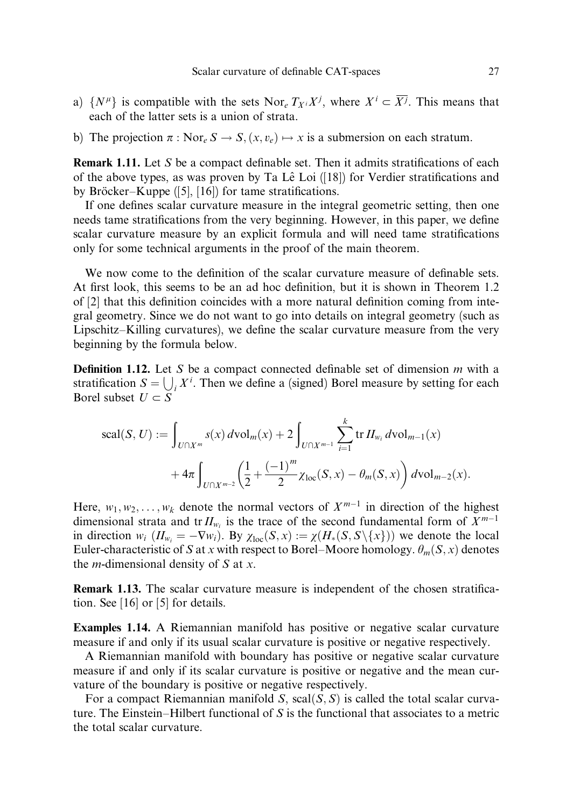- a)  $\{N^{\mu}\}\$ is compatible with the sets Nor<sub>e</sub>  $T_{X_i}X^j$ , where  $X^i \subset \overline{X^j}$ . This means that each of the latter sets is a union of strata.
- b) The projection  $\pi : \text{Nor}_e S \to S$ ,  $(x, v_e) \mapsto x$  is a submersion on each stratum.

Remark 1.11. Let S be a compact definable set. Then it admits stratifications of each of the above types, as was proven by Ta Lê Loi  $(18)$  for Verdier stratifications and by Bröcker–Kuppe  $([5], [16])$  for tame stratifications.

If one defines scalar curvature measure in the integral geometric setting, then one needs tame stratifications from the very beginning. However, in this paper, we define scalar curvature measure by an explicit formula and will need tame stratifications only for some technical arguments in the proof of the main theorem.

We now come to the definition of the scalar curvature measure of definable sets. At first look, this seems to be an ad hoc definition, but it is shown in Theorem 1.2 of [2] that this definition coincides with a more natural definition coming from integral geometry. Since we do not want to go into details on integral geometry (such as Lipschitz–Killing curvatures), we define the scalar curvature measure from the very beginning by the formula below.

**Definition 1.12.** Let S be a compact connected definable set of dimension  $m$  with a stratification  $S = \bigcup_i X^i$ . Then we define a (signed) Borel measure by setting for each Borel subset  $U \subset \overline{S}$ 

$$
\begin{split} \text{scal}(S,U) &:= \int_{U \cap X^m} s(x) \, d\text{vol}_m(x) + 2 \int_{U \cap X^{m-1}} \sum_{i=1}^k \text{tr} \, H_{w_i} \, d\text{vol}_{m-1}(x) \\ &+ 4\pi \int_{U \cap X^{m-2}} \left( \frac{1}{2} + \frac{(-1)^m}{2} \chi_{\text{loc}}(S,x) - \theta_m(S,x) \right) d\text{vol}_{m-2}(x). \end{split}
$$

Here,  $w_1, w_2, \ldots, w_k$  denote the normal vectors of  $X^{m-1}$  in direction of the highest dimensional strata and tr $H_{w_i}$  is the trace of the second fundamental form of  $X^{m-1}$ in direction  $w_i$   $(H_{w_i} = -\nabla w_i)$ . By  $\chi_{loc}(S, x) := \chi(H_*(S, S \setminus \{x\}))$  we denote the local Euler-characteristic of S at x with respect to Borel–Moore homology.  $\theta_m(S, x)$  denotes the *m*-dimensional density of  $S$  at  $x$ .

Remark 1.13. The scalar curvature measure is independent of the chosen stratification. See [16] or [5] for details.

Examples 1.14. A Riemannian manifold has positive or negative scalar curvature measure if and only if its usual scalar curvature is positive or negative respectively.

A Riemannian manifold with boundary has positive or negative scalar curvature measure if and only if its scalar curvature is positive or negative and the mean curvature of the boundary is positive or negative respectively.

For a compact Riemannian manifold S,  $\text{scal}(S, S)$  is called the total scalar curvature. The Einstein–Hilbert functional of S is the functional that associates to a metric the total scalar curvature.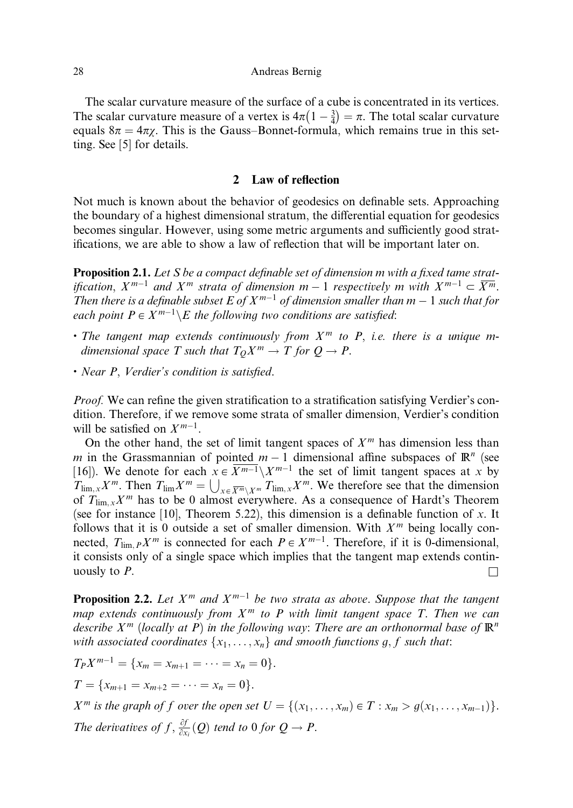The scalar curvature measure of the surface of a cube is concentrated in its vertices. The scalar curvature measure of a vertex is  $4\pi (1 - \frac{3}{4}) = \pi$ . The total scalar curvature equals  $8\pi = 4\pi\gamma$ . This is the Gauss–Bonnet-formula, which remains true in this setting. See [5] for details.

### 2 Law of reflection

Not much is known about the behavior of geodesics on definable sets. Approaching the boundary of a highest dimensional stratum, the differential equation for geodesics becomes singular. However, using some metric arguments and sufficiently good stratifications, we are able to show a law of reflection that will be important later on.

Proposition 2.1. Let S be a compact definable set of dimension m with a fixed tame stratification,  $X^{m-1}$  and  $X^m$  strata of dimension  $m-1$  respectively m with  $X^{m-1} \subset \overline{X^m}$ . Then there is a definable subset E of  $X^{m-1}$  of dimension smaller than  $m-1$  such that for each point  $P \in X^{m-1} \backslash E$  the following two conditions are satisfied:

- The tangent map extends continuously from  $X^m$  to P, i.e. there is a unique mdimensional space T such that  $T_0X^m \to T$  for  $Q \to P$ .
- . Near P, Verdier's condition is satisfied.

Proof. We can refine the given stratification to a stratification satisfying Verdier's condition. Therefore, if we remove some strata of smaller dimension, Verdier's condition will be satisfied on  $X^{m-1}$ .

On the other hand, the set of limit tangent spaces of  $X<sup>m</sup>$  has dimension less than m in the Grassmannian of pointed  $m - 1$  dimensional affine subspaces of  $\mathbb{R}^n$  (see [16]). We denote for each  $x \in \overline{X^{m-1}} \setminus X^{m-1}$  the set of limit tangent spaces at x by  $T_{\lim,x}X^m$ . Then  $T_{\lim}X^m = \bigcup_{x \in \overline{X^m} \setminus X^m} T_{\lim,x}X^m$ . We therefore see that the dimension of  $T_{\lim x} X^m$  has to be 0 almost everywhere. As a consequence of Hardt's Theorem (see for instance [10], Theorem 5.22), this dimension is a definable function of x. It follows that it is 0 outside a set of smaller dimension. With  $X<sup>m</sup>$  being locally connected,  $T_{\lim P} X^m$  is connected for each  $P \in X^{m-1}$ . Therefore, if it is 0-dimensional, it consists only of a single space which implies that the tangent map extends continuously to  $P$ .

**Proposition 2.2.** Let  $X^m$  and  $X^{m-1}$  be two strata as above. Suppose that the tangent map extends continuously from  $X^m$  to P with limit tangent space T. Then we can describe  $X^m$  (locally at P) in the following way: There are an orthonormal base of  $\mathbb{R}^n$ with associated coordinates  $\{x_1, \ldots, x_n\}$  and smooth functions g, f such that:

$$
T_P X^{m-1} = \{x_m = x_{m+1} = \dots = x_n = 0\}.
$$
  

$$
T = \{x_{m+1} = x_{m+2} = \dots = x_n = 0\}.
$$

 $X^m$  is the graph of f over the open set  $U = \{(x_1, \ldots, x_m) \in T : x_m > g(x_1, \ldots, x_{m-1})\}.$ The derivatives of  $f$ ,  $\frac{\partial f}{\partial x_i}(Q)$  tend to 0 for  $Q \to P$ .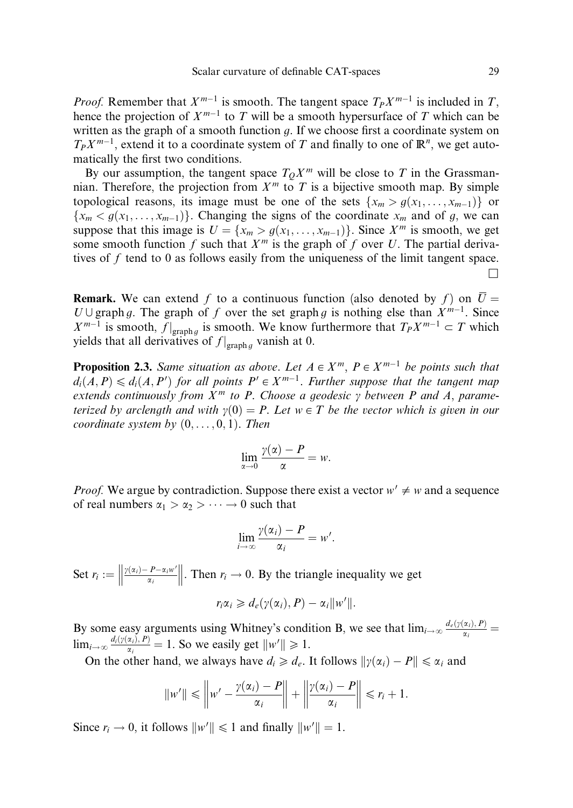*Proof.* Remember that  $X^{m-1}$  is smooth. The tangent space  $T_P X^{m-1}$  is included in T, hence the projection of  $X^{m-1}$  to T will be a smooth hypersurface of T which can be written as the graph of a smooth function  $q$ . If we choose first a coordinate system on  $T_P X^{m-1}$ , extend it to a coordinate system of T and finally to one of  $\mathbb{R}^n$ , we get automatically the first two conditions.

By our assumption, the tangent space  $T_0X^m$  will be close to T in the Grassmannian. Therefore, the projection from  $X<sup>m</sup>$  to T is a bijective smooth map. By simple topological reasons, its image must be one of the sets  $\{x_m > g(x_1, \ldots, x_{m-1})\}$  or  ${x<sub>m</sub> < g(x<sub>1</sub>,...,x<sub>m-1</sub>)}$ . Changing the signs of the coordinate  $x<sub>m</sub>$  and of g, we can suppose that this image is  $U = \{x_m > g(x_1, \ldots, x_{m-1})\}$ . Since  $X^m$  is smooth, we get some smooth function f such that  $X<sup>m</sup>$  is the graph of f over U. The partial derivatives of  $f$  tend to 0 as follows easily from the uniqueness of the limit tangent space.  $\Box$ 

**Remark.** We can extend f to a continuous function (also denoted by f) on  $\overline{U} =$  $U \cup \text{graph } g$ . The graph of f over the set graph g is nothing else than  $X^{m-1}$ . Since  $X^{m-1}$  is smooth,  $f|_{\text{graph } g}$  is smooth. We know furthermore that  $T_P X^{m-1} \subset T$  which yields that all derivatives of  $f|_{\text{graph }g}$  vanish at 0.

**Proposition 2.3.** Same situation as above. Let  $A \in X^m$ ,  $P \in X^{m-1}$  be points such that  $d_i(A, P) \leqslant d_i(A, P')$  for all points  $P' \in X^{m-1}$ . Further suppose that the tangent map extends continuously from  $X^m$  to P. Choose a geodesic  $\gamma$  between P and A, parameterized by arclength and with  $\gamma(0) = P$ . Let  $w \in T$  be the vector which is given in our coordinate system by  $(0, \ldots, 0, 1)$ . Then

$$
\lim_{\alpha \to 0} \frac{\gamma(\alpha) - P}{\alpha} = w.
$$

*Proof.* We argue by contradiction. Suppose there exist a vector  $w' \neq w$  and a sequence of real numbers  $\alpha_1 > \alpha_2 > \cdots \rightarrow 0$  such that

$$
\lim_{i\to\infty}\frac{\gamma(\alpha_i)-P}{\alpha_i}=w'.
$$

Set  $r_i := \left\| \frac{\gamma(\alpha_i) - P - \alpha_i w'}{\alpha_i} \right\|$  $\frac{1}{2}$ . Then  $r_i \rightarrow 0$ . By the triangle inequality we get

$$
r_i\alpha_i \geq d_e(\gamma(\alpha_i), P) - \alpha_i \|w'\|.
$$

By some easy arguments using Whitney's condition B, we see that  $\lim_{i\to\infty} \frac{d_e(y(\alpha_i), P)}{a_i}$  $\lim_{i \to \infty} \frac{d_i(\gamma(\alpha_i), P)}{\alpha_i} = 1$ . So we easily get  $||w'|| \ge 1$ .

On the other hand, we always have  $d_i \geq d_e$ . It follows  $\|\gamma(\alpha_i) - P\| \leq \alpha_i$  and

$$
||w'|| \leq ||w' - \frac{\gamma(\alpha_i) - P}{\alpha_i}|| + ||\frac{\gamma(\alpha_i) - P}{\alpha_i}|| \leq r_i + 1.
$$

Since  $r_i \to 0$ , it follows  $||w'|| \le 1$  and finally  $||w'|| = 1$ .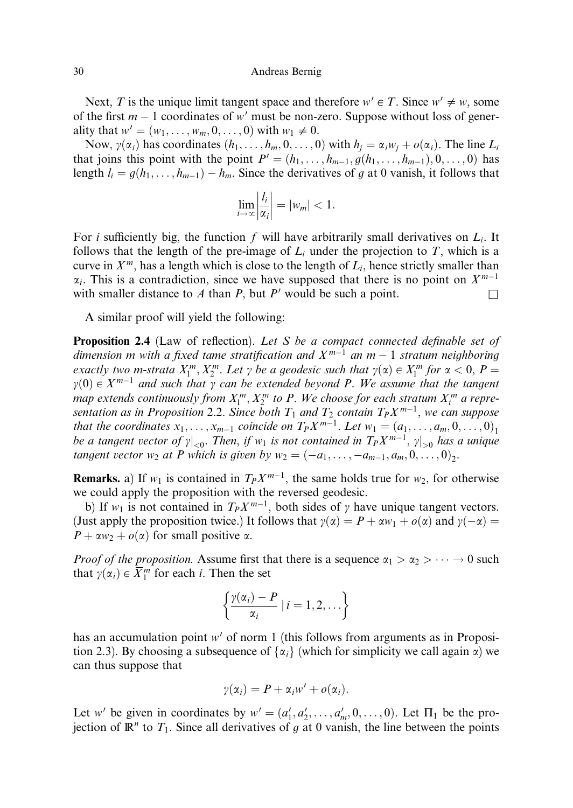Next, T is the unique limit tangent space and therefore  $w' \in T$ . Since  $w' \neq w$ , some of the first  $m - 1$  coordinates of w' must be non-zero. Suppose without loss of generality that  $w' = (w_1, \ldots, w_m, 0, \ldots, 0)$  with  $w_1 \neq 0$ .

Now,  $\gamma(\alpha_i)$  has coordinates  $(h_1, \ldots, h_m, 0, \ldots, 0)$  with  $h_i = \alpha_i w_i + o(\alpha_i)$ . The line  $L_i$ that joins this point with the point  $P' = (h_1, \ldots, h_{m-1}, g(h_1, \ldots, h_{m-1}), 0, \ldots, 0)$  has length  $l_i = g(h_1, \ldots, h_{m-1}) - h_m$ . Since the derivatives of g at 0 vanish, it follows that

$$
\lim_{i\to\infty}\left|\frac{l_i}{\alpha_i}\right| = |w_m| < 1.
$$

For i sufficiently big, the function f will have arbitrarily small derivatives on  $L_i$ . It follows that the length of the pre-image of  $L_i$  under the projection to T, which is a curve in  $X^m$ , has a length which is close to the length of  $L_i$ , hence strictly smaller than  $\alpha_i$ . This is a contradiction, since we have supposed that there is no point on  $X^{m-1}$ with smaller distance to A than P, but P' would be such a point.  $\square$ 

A similar proof will yield the following:

Proposition 2.4 (Law of reflection). Let S be a compact connected definable set of dimension m with a fixed tame stratification and  $X^{m-1}$  an  $m-1$  stratum neighboring exactly two m-strata  $X_1^m, X_2^m$ . Let  $\gamma$  be a geodesic such that  $\gamma(\alpha) \in X_1^m$  for  $\alpha < 0$ ,  $P =$  $\gamma(0) \in X^{m-1}$  and such that  $\gamma$  can be extended beyond P. We assume that the tangent map extends continuously from  $X_1^m, X_2^m$  to P. We choose for each stratum  $X_i^m$  a representation as in Proposition 2.2. Since both  $T_1$  and  $T_2$  contain  $T_P X^{m-1}$ , we can suppose that the coordinates  $x_1, \ldots, x_{m-1}$  coincide on  $T_P X^{m-1}$ . Let  $w_1 = (a_1, \ldots, a_m, 0, \ldots, 0)_1$ be a tangent vector of  $\gamma|_{< 0}$ . Then, if  $w_1$  is not contained in  $T_PX^{m-1}$ ,  $\gamma|_{> 0}$  has a unique tangent vector  $w_2$  at P which is given by  $w_2 = (-a_1, \ldots, -a_{m-1}, a_m, 0, \ldots, 0)$ .

**Remarks.** a) If  $w_1$  is contained in  $T_P X^{m-1}$ , the same holds true for  $w_2$ , for otherwise we could apply the proposition with the reversed geodesic.

b) If  $w_1$  is not contained in  $T_P X^{m-1}$ , both sides of  $\gamma$  have unique tangent vectors. (Just apply the proposition twice.) It follows that  $y(\alpha) = P + \alpha w_1 + o(\alpha)$  and  $y(-\alpha) =$  $P + \alpha w_2 + o(\alpha)$  for small positive  $\alpha$ .

*Proof of the proposition.* Assume first that there is a sequence  $\alpha_1 > \alpha_2 > \cdots \to 0$  such that  $\gamma(\alpha_i) \in \overline{X}_1^m$  for each *i*. Then the set

$$
\left\{\frac{\gamma(\alpha_i)-P}{\alpha_i}\mid i=1,2,\ldots\right\}
$$

has an accumulation point  $w'$  of norm 1 (this follows from arguments as in Proposition 2.3). By choosing a subsequence of  $\{\alpha_i\}$  (which for simplicity we call again  $\alpha$ ) we can thus suppose that

$$
\gamma(\alpha_i)=P+\alpha_iw'+o(\alpha_i).
$$

Let w' be given in coordinates by  $w' = (a'_1, a'_2, \dots, a'_m, 0, \dots, 0)$ . Let  $\Pi_1$  be the projection of  $\mathbb{R}^n$  to  $T_1$ . Since all derivatives of g at 0 vanish, the line between the points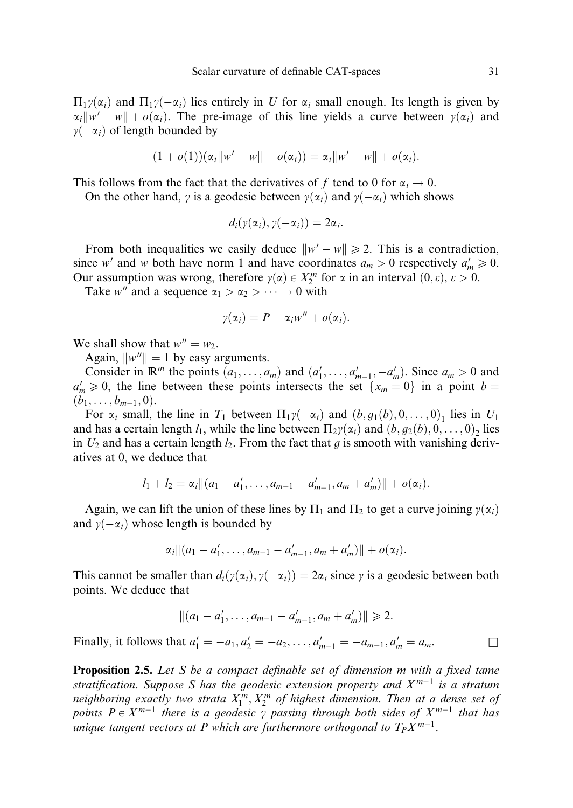$\Pi_1\gamma(\alpha_i)$  and  $\Pi_1\gamma(-\alpha_i)$  lies entirely in U for  $\alpha_i$  small enough. Its length is given by  $\alpha_i \|w' - w\| + o(\alpha_i)$ . The pre-image of this line yields a curve between  $\gamma(\alpha_i)$  and  $\gamma(-\alpha_i)$  of length bounded by

$$
(1 + o(1))(\alpha_i \|w' - w\| + o(\alpha_i)) = \alpha_i \|w' - w\| + o(\alpha_i).
$$

This follows from the fact that the derivatives of f tend to 0 for  $\alpha_i \rightarrow 0$ .

On the other hand,  $\gamma$  is a geodesic between  $\gamma(\alpha_i)$  and  $\gamma(-\alpha_i)$  which shows

$$
d_i(\gamma(\alpha_i),\gamma(-\alpha_i))=2\alpha_i.
$$

From both inequalities we easily deduce  $\|w' - w\| \geq 2$ . This is a contradiction, since w' and w both have norm 1 and have coordinates  $a_m > 0$  respectively  $a'_m \ge 0$ . Our assumption was wrong, therefore  $\gamma(\alpha) \in X_2^m$  for  $\alpha$  in an interval  $(0, \varepsilon)$ ,  $\varepsilon > 0$ .

Take w'' and a sequence  $\alpha_1 > \alpha_2 > \cdots \to 0$  with

$$
\gamma(\alpha_i)=P+\alpha_iw''+o(\alpha_i).
$$

We shall show that  $w'' = w_2$ .

Again,  $\|w''\| = 1$  by easy arguments.

Consider in  $\mathbb{R}^m$  the points  $(a_1, \ldots, a_m)$  and  $(a'_1, \ldots, a'_{m-1}, -a'_m)$ . Since  $a_m > 0$  and  $a'_m \geq 0$ , the line between these points intersects the set  $\{x_m = 0\}$  in a point  $b =$  $(b_1, \ldots, b_{m-1}, 0).$ 

For  $\alpha_i$  small, the line in  $T_1$  between  $\Pi_1\gamma(-\alpha_i)$  and  $(b, g_1(b), 0, \ldots, 0)_1$  lies in  $U_1$ and has a certain length  $l_1$ , while the line between  $\Pi_2\gamma(\alpha_i)$  and  $(b, g_2(b), 0, \ldots, 0)_2$  lies in  $U_2$  and has a certain length  $l_2$ . From the fact that g is smooth with vanishing derivatives at 0, we deduce that

$$
l_1 + l_2 = \alpha_i ||(a_1 - a'_1, \ldots, a_{m-1} - a'_{m-1}, a_m + a'_m)|| + o(\alpha_i).
$$

Again, we can lift the union of these lines by  $\Pi_1$  and  $\Pi_2$  to get a curve joining  $\gamma(\alpha_i)$ and  $\gamma(-\alpha_i)$  whose length is bounded by

$$
\alpha_i || (a_1 - a'_1, \ldots, a_{m-1} - a'_{m-1}, a_m + a'_m) || + o(\alpha_i).
$$

This cannot be smaller than  $d_i(\gamma(\alpha_i), \gamma(-\alpha_i)) = 2\alpha_i$  since  $\gamma$  is a geodesic between both points. We deduce that

$$
||(a_1-a'_1,\ldots,a_{m-1}-a'_{m-1},a_m+a'_m)|| \geq 2.
$$

Finally, it follows that  $a'_1 = -a_1, a'_2 = -a_2, ..., a'_{m-1} = -a_{m-1}, a'_m = a_m$ .

Proposition 2.5. Let S be a compact definable set of dimension m with a fixed tame stratification. Suppose S has the geodesic extension property and  $X^{m-1}$  is a stratum neighboring exactly two strata  $X_1^m, X_2^m$  of highest dimension. Then at a dense set of points  $P \in X^{m-1}$  there is a geodesic  $\gamma$  passing through both sides of  $X^{m-1}$  that has unique tangent vectors at P which are furthermore orthogonal to  $T_PX^{m-1}$ .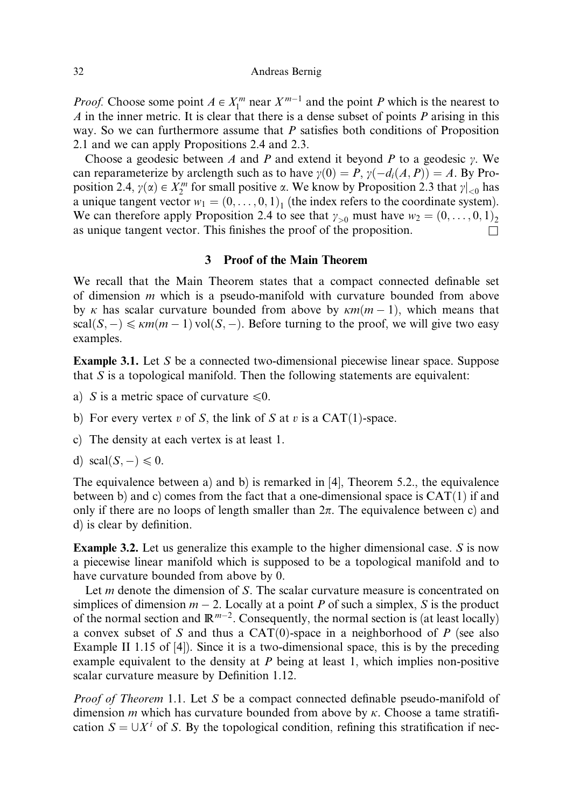*Proof.* Choose some point  $A \in X_1^m$  near  $X^{m-1}$  and the point P which is the nearest to  $A$  in the inner metric. It is clear that there is a dense subset of points  $P$  arising in this way. So we can furthermore assume that  $P$  satisfies both conditions of Proposition 2.1 and we can apply Propositions 2.4 and 2.3.

Choose a geodesic between A and P and extend it beyond P to a geodesic  $\gamma$ . We can reparameterize by arclength such as to have  $\gamma(0) = P$ ,  $\gamma(-d_i(A, P)) = A$ . By Proposition 2.4,  $\gamma(\alpha) \in X_2^m$  for small positive  $\alpha$ . We know by Proposition 2.3 that  $\gamma|_{\leq 0}$  has a unique tangent vector  $w_1 = (0, \ldots, 0, 1)$  (the index refers to the coordinate system). We can therefore apply Proposition 2.4 to see that  $\gamma_{>0}$  must have  $w_2 = (0, \ldots, 0, 1)$ as unique tangent vector. This finishes the proof of the proposition.  $\Box$ 

# 3 Proof of the Main Theorem

We recall that the Main Theorem states that a compact connected definable set of dimension  $m$  which is a pseudo-manifold with curvature bounded from above by k has scalar curvature bounded from above by  $km(m - 1)$ , which means that  $scal(S, -) \leq \kappa m(m - 1) vol(S, -)$ . Before turning to the proof, we will give two easy examples.

Example 3.1. Let S be a connected two-dimensional piecewise linear space. Suppose that  $S$  is a topological manifold. Then the following statements are equivalent:

- a) S is a metric space of curvature  $\leq 0$ .
- b) For every vertex v of S, the link of S at v is a CAT $(1)$ -space.
- c) The density at each vertex is at least 1.

d)  $\text{scal}(S, -) \leq 0$ .

The equivalence between a) and b) is remarked in [4], Theorem 5.2., the equivalence between b) and c) comes from the fact that a one-dimensional space is  $CAT(1)$  if and only if there are no loops of length smaller than  $2\pi$ . The equivalence between c) and d) is clear by definition.

Example 3.2. Let us generalize this example to the higher dimensional case. S is now a piecewise linear manifold which is supposed to be a topological manifold and to have curvature bounded from above by 0.

Let *m* denote the dimension of S. The scalar curvature measure is concentrated on simplices of dimension  $m - 2$ . Locally at a point P of such a simplex, S is the product of the normal section and  $\mathbb{R}^{m-2}$ . Consequently, the normal section is (at least locally) a convex subset of S and thus a CAT $(0)$ -space in a neighborhood of P (see also Example II 1.15 of [4]). Since it is a two-dimensional space, this is by the preceding example equivalent to the density at  $P$  being at least 1, which implies non-positive scalar curvature measure by Definition 1.12.

*Proof of Theorem* 1.1. Let S be a compact connected definable pseudo-manifold of dimension m which has curvature bounded from above by  $\kappa$ . Choose a tame stratification  $S = \bigcup X^i$  of S. By the topological condition, refining this stratification if nec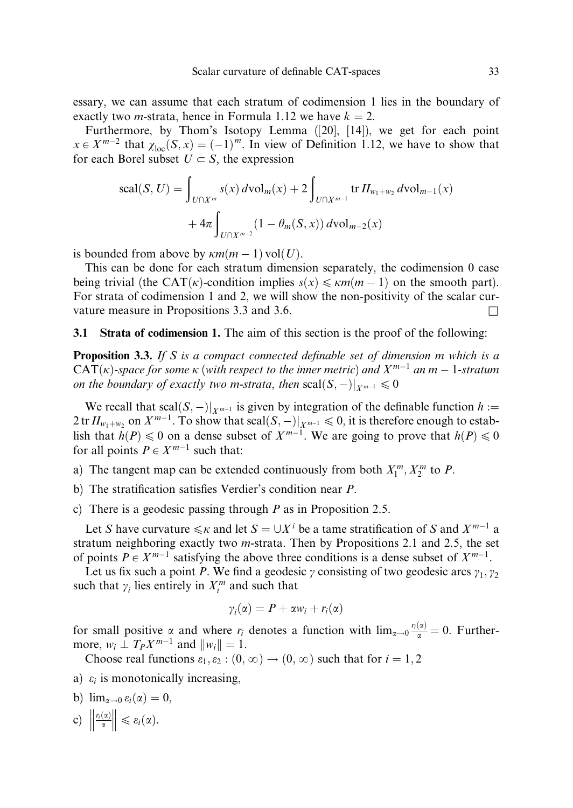essary, we can assume that each stratum of codimension 1 lies in the boundary of exactly two *m*-strata, hence in Formula 1.12 we have  $k = 2$ .

Furthermore, by Thom's Isotopy Lemma ([20], [14]), we get for each point  $x \in X^{m-2}$  that  $\chi_{loc}(S, x) = (-1)^m$ . In view of Definition 1.12, we have to show that for each Borel subset  $U \subset S$ , the expression

$$
\text{scal}(S, U) = \int_{U \cap X^m} s(x) \, d\text{vol}_m(x) + 2 \int_{U \cap X^{m-1}} \text{tr} \, H_{w_1 + w_2} \, d\text{vol}_{m-1}(x) + 4\pi \int_{U \cap X^{m-2}} (1 - \theta_m(S, x)) \, d\text{vol}_{m-2}(x)
$$

is bounded from above by  $\kappa m(m - 1)$  vol $(U)$ .

This can be done for each stratum dimension separately, the codimension 0 case being trivial (the CAT( $\kappa$ )-condition implies  $s(x) \leq \kappa m(m - 1)$  on the smooth part). For strata of codimension 1 and 2, we will show the non-positivity of the scalar curvature measure in Propositions 3.3 and 3.6.  $\Box$ 

# 3.1 Strata of codimension 1. The aim of this section is the proof of the following:

**Proposition 3.3.** If S is a compact connected definable set of dimension m which is a  $CAT(\kappa)$ -space for some  $\kappa$  (with respect to the inner metric) and  $X^{m-1}$  an  $m-1$ -stratum on the boundary of exactly two m-strata, then  $\text{scal}(S, -)|_{X^{m-1}} \leq 0$ 

We recall that scal $(S, -)|_{X^{m-1}}$  is given by integration of the definable function  $h :=$  $2 \text{ tr } H_{w_1+w_2}$  on  $X^{m-1}$ . To show that scal $(S, -)|_{X^{m-1}} \leq 0$ , it is therefore enough to establish that  $h(P) \le 0$  on a dense subset of  $X^{m-1}$ . We are going to prove that  $h(P) \le 0$ for all points  $P \in X^{m-1}$  such that:

a) The tangent map can be extended continuously from both  $X_1^m, X_2^m$  to P.

- b) The stratification satisfies Verdier's condition near P.
- c) There is a geodesic passing through P as in Proposition 2.5.

Let S have curvature  $\leq k$  and let  $S = \bigcup X^i$  be a tame stratification of S and  $X^{m-1}$  a stratum neighboring exactly two m-strata. Then by Propositions 2.1 and 2.5, the set of points  $P \in X^{m-1}$  satisfying the above three conditions is a dense subset of  $X^{m-1}$ .

Let us fix such a point P. We find a geodesic  $\gamma$  consisting of two geodesic arcs  $\gamma_1, \gamma_2$ such that  $\gamma_i$  lies entirely in  $X_i^m$  and such that

$$
\gamma_i(\alpha) = P + \alpha w_i + r_i(\alpha)
$$

for small positive  $\alpha$  and where  $r_i$  denotes a function with  $\lim_{\alpha\to 0} \frac{r_i(\alpha)}{\alpha} = 0$ . Furthermore,  $w_i \perp T_P X^{m-1}$  and  $||w_i|| = 1$ .

Choose real functions  $\varepsilon_1, \varepsilon_2 : (0, \infty) \to (0, \infty)$  such that for  $i = 1, 2$ 

- a)  $\varepsilon_i$  is monotonically increasing,
- b)  $\lim_{\alpha \to 0} \varepsilon_i(\alpha) = 0$ ,

$$
c)\ \left\|\frac{r_i(\alpha)}{\alpha}\right\| \leqslant \varepsilon_i(\alpha).
$$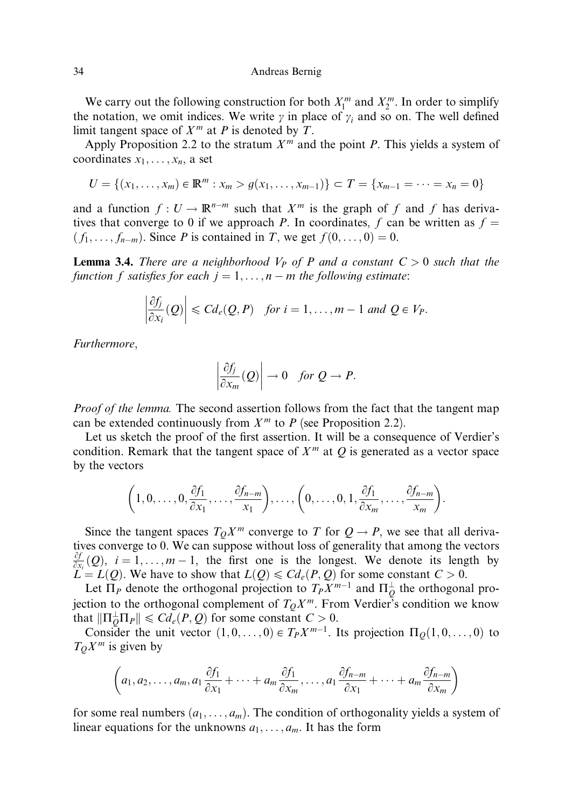We carry out the following construction for both  $X_1^m$  and  $X_2^m$ . In order to simplify the notation, we omit indices. We write  $\gamma$  in place of  $\gamma_i$  and so on. The well defined limit tangent space of  $X<sup>m</sup>$  at P is denoted by T.

Apply Proposition 2.2 to the stratum  $X^m$  and the point P. This yields a system of coordinates  $x_1, \ldots, x_n$ , a set

$$
U = \{(x_1, \ldots, x_m) \in \mathbb{R}^m : x_m > g(x_1, \ldots, x_{m-1})\} \subset T = \{x_{m-1} = \cdots = x_n = 0\}
$$

and a function  $f: U \to \mathbb{R}^{n-m}$  such that  $X^m$  is the graph of f and f has derivatives that converge to 0 if we approach P. In coordinates, f can be written as  $f =$  $(f_1, \ldots, f_{n-m})$ . Since P is contained in T, we get  $f(0, \ldots, 0) = 0$ .

**Lemma 3.4.** There are a neighborhood  $V_P$  of P and a constant  $C > 0$  such that the function f satisfies for each  $i = 1, \ldots, n - m$  the following estimate:

$$
\left|\frac{\partial f_j}{\partial x_i}(Q)\right|\leq C d_e(Q,P) \quad \text{for } i=1,\ldots,m-1 \text{ and } Q \in V_P.
$$

Furthermore,

 $\mathcal{L}^{\text{max}}$ 

$$
\left|\frac{\partial f_j}{\partial x_m}(Q)\right| \to 0 \quad \text{for } Q \to P.
$$

Proof of the lemma. The second assertion follows from the fact that the tangent map can be extended continuously from  $X<sup>m</sup>$  to P (see Proposition 2.2).

Let us sketch the proof of the first assertion. It will be a consequence of Verdier's condition. Remark that the tangent space of  $X<sup>m</sup>$  at  $Q$  is generated as a vector space by the vectors

$$
\left(1,0,\ldots,0,\frac{\partial f_1}{\partial x_1},\ldots,\frac{\partial f_{n-m}}{x_1}\right),\ldots,\left(0,\ldots,0,1,\frac{\partial f_1}{\partial x_m},\ldots,\frac{\partial f_{n-m}}{x_m}\right).
$$

Since the tangent spaces  $T_0X^m$  converge to T for  $Q \to P$ , we see that all derivatives converge to 0. We can suppose without loss of generality that among the vectors  $\frac{\partial f}{\partial x}(Q)$ ,  $i = 1, \ldots, m - 1$ , the first one is the longest. We denote its length by  $\overline{X}_i \in L(Q)$ . We have to show that  $L(Q) \leq C d_e(P,Q)$  for some constant  $C > 0$ .

Let  $\Pi_P$  denote the orthogonal projection to  $T_P X^{m-1}$  and  $\Pi_Q^{\perp}$  the orthogonal projection to the orthogonal complement of  $T_0X^m$ . From Verdier's condition we know that  $\|\Pi_Q^{\perp}\Pi_P\| \leq C d_e(P, Q)$  for some constant  $C > 0$ .

Consider the unit vector  $(1, 0, \ldots, 0) \in T_P X^{m-1}$ . Its projection  $\Pi_O(1, 0, \ldots, 0)$  to  $T_QX^m$  is given by

$$
\left(a_1, a_2, \ldots, a_m, a_1 \frac{\partial f_1}{\partial x_1} + \cdots + a_m \frac{\partial f_1}{\partial x_m}, \ldots, a_1 \frac{\partial f_{n-m}}{\partial x_1} + \cdots + a_m \frac{\partial f_{n-m}}{\partial x_m}\right)
$$

for some real numbers  $(a_1, \ldots, a_m)$ . The condition of orthogonality yields a system of linear equations for the unknowns  $a_1, \ldots, a_m$ . It has the form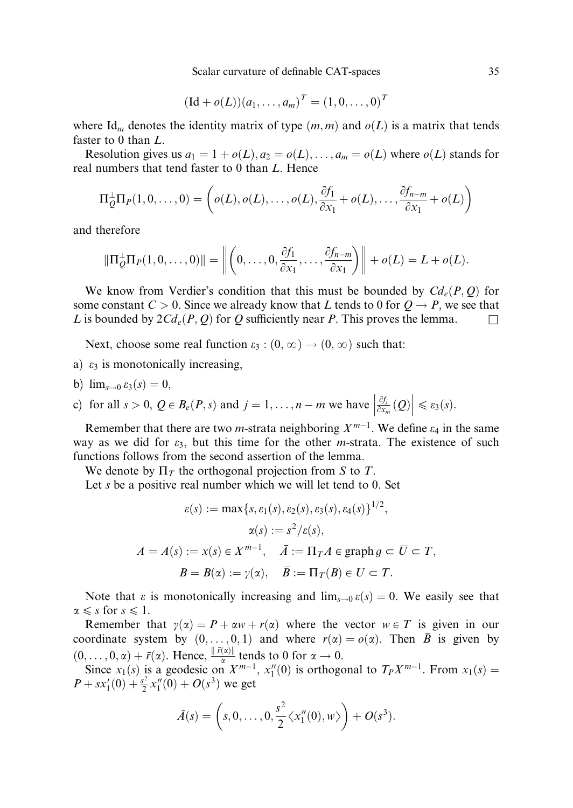Scalar curvature of definable CAT-spaces 35

$$
(\mathrm{Id} + o(L))(a_1, \ldots, a_m)^T = (1, 0, \ldots, 0)^T
$$

where Id<sub>m</sub> denotes the identity matrix of type  $(m, m)$  and  $o(L)$  is a matrix that tends faster to 0 than L.

Resolution gives us  $a_1 = 1 + o(L)$ ,  $a_2 = o(L)$ , ...,  $a_m = o(L)$  where  $o(L)$  stands for real numbers that tend faster to 0 than L. Hence

$$
\Pi_{Q}^{\perp}\Pi_{P}(1,0,\ldots,0)=\left(o(L),o(L),\ldots,o(L),\frac{\partial f_1}{\partial x_1}+o(L),\ldots,\frac{\partial f_{n-m}}{\partial x_1}+o(L)\right)
$$

and therefore

$$
\|\Pi_Q^{\perp}\Pi_P(1,0,\ldots,0)\|=\left\|\left(0,\ldots,0,\frac{\partial f_1}{\partial x_1},\ldots,\frac{\partial f_{n-m}}{\partial x_1}\right)\right\|+o(L)=L+o(L).
$$

We know from Verdier's condition that this must be bounded by  $Cd_e(P, Q)$  for some constant  $C > 0$ . Since we already know that L tends to 0 for  $Q \rightarrow P$ , we see that L is bounded by  $2Cd_e(P, Q)$  for Q sufficiently near P. This proves the lemma.

Next, choose some real function  $\varepsilon_3$ :  $(0, \infty) \rightarrow (0, \infty)$  such that:

- a)  $\varepsilon_3$  is monotonically increasing.
- b)  $\lim_{s\to 0} \varepsilon_3(s) = 0$ ,

c) for all 
$$
s > 0
$$
,  $Q \in B_e(P, s)$  and  $j = 1, ..., n - m$  we have  $\left| \frac{\partial f_i}{\partial x_m}(Q) \right| \le \varepsilon_3(s)$ .

Remember that there are two *m*-strata neighboring  $X^{m-1}$ . We define  $\varepsilon_4$  in the same way as we did for  $\varepsilon_3$ , but this time for the other *m*-strata. The existence of such functions follows from the second assertion of the lemma.

We denote by  $\Pi_T$  the orthogonal projection from S to T.

Let  $s$  be a positive real number which we will let tend to 0. Set

$$
\varepsilon(s) := \max\{s, \varepsilon_1(s), \varepsilon_2(s), \varepsilon_3(s), \varepsilon_4(s)\}^{1/2},
$$

$$
\alpha(s) := s^2/\varepsilon(s),
$$

$$
A = A(s) := x(s) \in X^{m-1}, \quad \bar{A} := \Pi_T A \in \text{graph } g \subset \bar{U} \subset T,
$$

$$
B = B(\alpha) := \gamma(\alpha), \quad \bar{B} := \Pi_T(B) \in U \subset T.
$$

Note that  $\varepsilon$  is monotonically increasing and  $\lim_{s\to 0} \varepsilon(s) = 0$ . We easily see that  $\alpha \leq s$  for  $s \leq 1$ .

Remember that  $y(x) = P + \alpha w + r(\alpha)$  where the vector  $w \in T$  is given in our coordinate system by  $(0, \ldots, 0, 1)$  and where  $r(\alpha) = o(\alpha)$ . Then  $\overline{B}$  is given by  $(0, \ldots, 0, \alpha) + \bar{r}(\alpha)$ . Hence,  $\frac{\|\bar{r}(\alpha)\|}{\alpha}$  tends to 0 for  $\alpha \to 0$ .

Since  $x_1(s)$  is a geodesic on  $X^{m-1}$ ,  $x_1''(0)$  is orthogonal to  $T_PX^{m-1}$ . From  $x_1(s)$  =  $P + sx'_1(0) + \frac{s^2}{2}x''_1(0) + O(s^3)$  we get

$$
\bar{A}(s) = \left(s, 0, \ldots, 0, \frac{s^2}{2} \langle x_1''(0), w \rangle \right) + O(s^3).
$$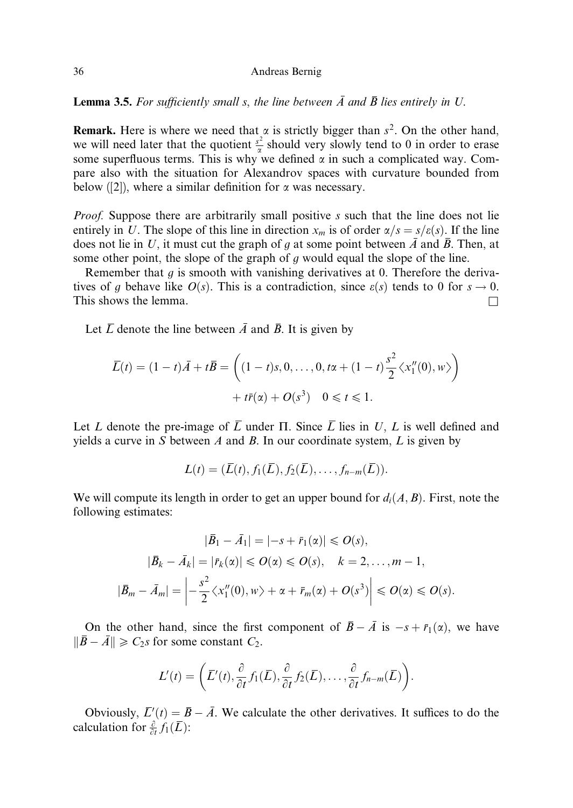**Lemma 3.5.** For sufficiently small s, the line between  $\overline{A}$  and  $\overline{B}$  lies entirely in U.

**Remark.** Here is where we need that  $\alpha$  is strictly bigger than  $s^2$ . On the other hand, we will need later that the quotient  $\frac{s^2}{\alpha}$  should very slowly tend to 0 in order to erase some superfluous terms. This is why we defined  $\alpha$  in such a complicated way. Compare also with the situation for Alexandrov spaces with curvature bounded from below  $(2)$ , where a similar definition for  $\alpha$  was necessary.

*Proof.* Suppose there are arbitrarily small positive s such that the line does not lie entirely in U. The slope of this line in direction  $x_m$  is of order  $\alpha/s = s/\varepsilon(s)$ . If the line does not lie in U, it must cut the graph of g at some point between  $\overline{A}$  and  $\overline{B}$ . Then, at some other point, the slope of the graph of  $q$  would equal the slope of the line.

Remember that  $g$  is smooth with vanishing derivatives at 0. Therefore the derivatives of g behave like  $O(s)$ . This is a contradiction, since  $\varepsilon(s)$  tends to 0 for  $s \to 0$ . This shows the lemma.  $\Box$ 

Let  $\overline{L}$  denote the line between  $\overline{A}$  and  $\overline{B}$ . It is given by

$$
\overline{L}(t) = (1 - t)\overline{A} + t\overline{B} = \left( (1 - t)s, 0, \dots, 0, t\alpha + (1 - t)\frac{s^2}{2} \langle x_1''(0), w \rangle \right) + t\overline{r}(\alpha) + O(s^3) \quad 0 \le t \le 1.
$$

Let L denote the pre-image of  $\overline{L}$  under  $\Pi$ . Since  $\overline{L}$  lies in U, L is well defined and yields a curve in S between A and B. In our coordinate system,  $L$  is given by

$$
L(t)=(\overline{L}(t),f_1(\overline{L}),f_2(\overline{L}),\ldots,f_{n-m}(\overline{L})).
$$

We will compute its length in order to get an upper bound for  $d_i(A, B)$ . First, note the following estimates:

$$
|\overline{B}_1 - \overline{A}_1| = |-s + \overline{r}_1(\alpha)| \leqslant O(s),
$$
  

$$
|\overline{B}_k - \overline{A}_k| = |\overline{r}_k(\alpha)| \leqslant O(\alpha) \leqslant O(s), \quad k = 2, \dots, m - 1,
$$
  

$$
|\overline{B}_m - \overline{A}_m| = \left| -\frac{s^2}{2} \langle x_1''(0), w \rangle + \alpha + \overline{r}_m(\alpha) + O(s^3) \right| \leqslant O(\alpha) \leqslant O(s).
$$

On the other hand, since the first component of  $\bar{B} - \bar{A}$  is  $-s + \bar{r}_1(\alpha)$ , we have  $\|\overline{B} - \overline{A}\| \geq C_2s$  for some constant  $C_2$ .

$$
L'(t) = \left(\overline{L}'(t), \frac{\partial}{\partial t} f_1(\overline{L}), \frac{\partial}{\partial t} f_2(\overline{L}), \ldots, \frac{\partial}{\partial t} f_{n-m}(\overline{L})\right).
$$

Obviously,  $\overline{L}'(t) = \overline{B} - \overline{A}$ . We calculate the other derivatives. It suffices to do the calculation for  $\frac{\partial}{\partial t} f_1(\overline{L})$ :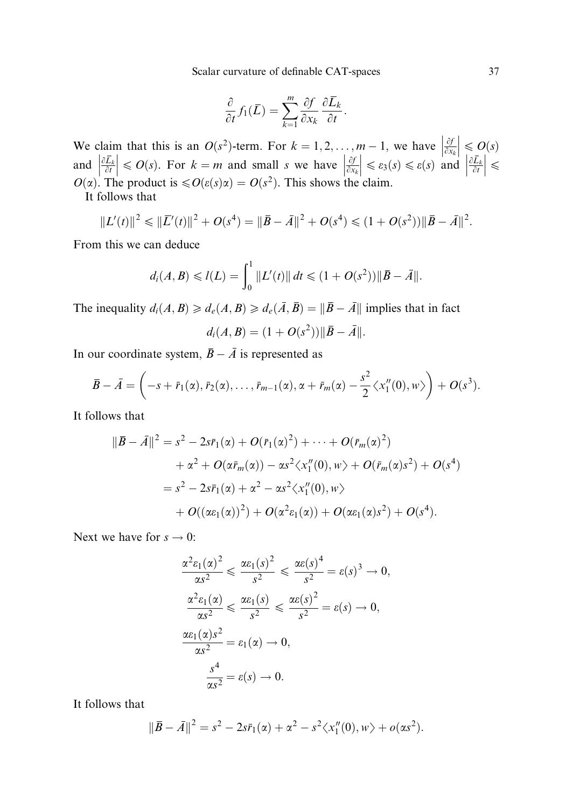Scalar curvature of definable CAT-spaces 37

$$
\frac{\partial}{\partial t} f_1(\overline{L}) = \sum_{k=1}^m \frac{\partial f}{\partial x_k} \frac{\partial \overline{L}_k}{\partial t}.
$$

We claim that this is an  $O(s^2)$ -term. For  $k = 1, 2, ..., m - 1$ , we have  $\frac{\partial f}{\partial x_k}$  $\begin{array}{c} \begin{array}{c} \begin{array}{c} \end{array} \\ \begin{array}{c} \end{array} \end{array} \end{array}$  $\leqslant O(s)$ and  $\left| \frac{\partial L_k}{\partial t} \right|$  $\overline{\phantom{a}}$  $\vert \leqslant O(s)$ . For  $k = m$  and small s we have  $\vert \frac{\partial f}{\partial x_k} \vert$  $\overline{\phantom{a}}$  $\begin{cases} \n\frac{\partial}{\partial x_k} \\
\leq \varepsilon_3(s) \leq \varepsilon(s) \text{ and } \frac{\partial \overline{L}_k}{\partial t} \n\end{cases}$  $\overline{\phantom{a}}$  $\vert \leqslant$  $O(\alpha)$ . The product is  $\leq O(\varepsilon(s)\alpha) = O(s^2)$ . This shows the claim.

It follows that

$$
||L'(t)||^2 \le ||\overline{L}'(t)||^2 + O(s^4) = ||\overline{B} - \overline{A}||^2 + O(s^4) \le (1 + O(s^2)) ||\overline{B} - \overline{A}||^2.
$$

From this we can deduce

$$
d_i(A, B) \le l(L) = \int_0^1 ||L'(t)|| dt \le (1 + O(s^2)) ||\overline{B} - \overline{A}||.
$$

The inequality  $d_i(A, B) \geq d_e(A, B) \geq d_e(\overline{A}, \overline{B}) = ||\overline{B} - \overline{A}||$  implies that in fact

$$
d_i(A, B) = (1 + O(s^2)) ||\overline{B} - \overline{A}||.
$$

In our coordinate system,  $\overline{B} - \overline{A}$  is represented as

$$
\overline{B}-\overline{A}=\left(-s+\overline{r}_1(\alpha),\overline{r}_2(\alpha),\ldots,\overline{r}_{m-1}(\alpha),\alpha+\overline{r}_m(\alpha)-\frac{s^2}{2}\langle x_1''(0),w\rangle\right)+O(s^3).
$$

It follows that

$$
\|\bar{B} - \bar{A}\|^2 = s^2 - 2s\bar{r}_1(\alpha) + O(\bar{r}_1(\alpha)^2) + \cdots + O(\bar{r}_m(\alpha)^2) \n+ \alpha^2 + O(\alpha \bar{r}_m(\alpha)) - \alpha s^2 \langle x''_1(0), w \rangle + O(\bar{r}_m(\alpha)s^2) + O(s^4) \n= s^2 - 2s\bar{r}_1(\alpha) + \alpha^2 - \alpha s^2 \langle x''_1(0), w \rangle \n+ O((\alpha \varepsilon_1(\alpha))^2) + O(\alpha^2 \varepsilon_1(\alpha)) + O(\alpha \varepsilon_1(\alpha)s^2) + O(s^4).
$$

Next we have for  $s \to 0$ :

$$
\frac{\alpha^2 \varepsilon_1(\alpha)^2}{\alpha s^2} \leq \frac{\alpha \varepsilon_1(s)^2}{s^2} \leq \frac{\alpha \varepsilon(s)^4}{s^2} = \varepsilon(s)^3 \to 0,
$$
  

$$
\frac{\alpha^2 \varepsilon_1(\alpha)}{\alpha s^2} \leq \frac{\alpha \varepsilon_1(s)}{s^2} \leq \frac{\alpha \varepsilon(s)^2}{s^2} = \varepsilon(s) \to 0,
$$
  

$$
\frac{\alpha \varepsilon_1(\alpha)s^2}{\alpha s^2} = \varepsilon_1(\alpha) \to 0,
$$
  

$$
\frac{s^4}{\alpha s^2} = \varepsilon(s) \to 0.
$$

It follows that

$$
\|\bar{B} - \bar{A}\|^2 = s^2 - 2s\bar{r}_1(\alpha) + \alpha^2 - s^2 \langle x_1''(0), w \rangle + o(\alpha s^2).
$$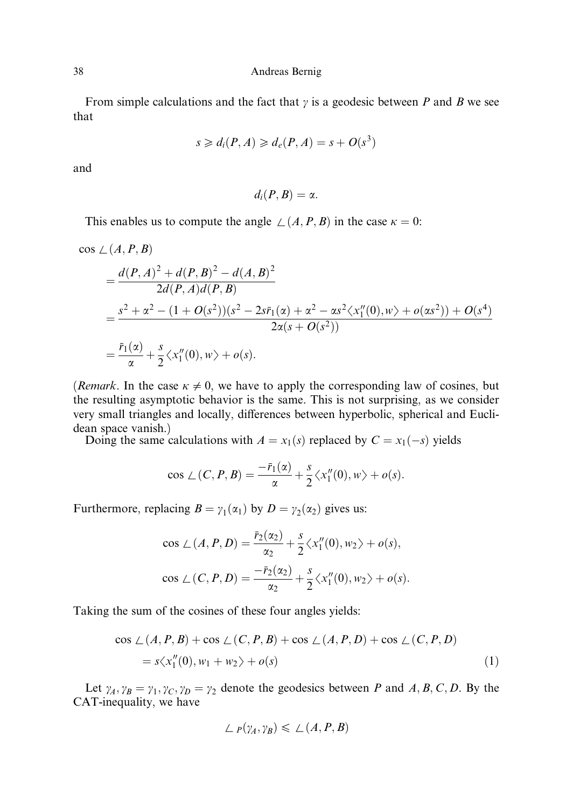From simple calculations and the fact that  $\gamma$  is a geodesic between P and B we see that

$$
s \geq d_i(P, A) \geq d_e(P, A) = s + O(s^3)
$$

and

$$
d_i(P,B)=\alpha.
$$

This enables us to compute the angle  $\angle$   $(A, P, B)$  in the case  $\kappa = 0$ :

$$
\cos \angle (A, P, B)
$$
  
=  $\frac{d(P, A)^2 + d(P, B)^2 - d(A, B)^2}{2d(P, A)d(P, B)}$   
=  $\frac{s^2 + \alpha^2 - (1 + O(s^2))(s^2 - 2s\bar{r}_1(\alpha) + \alpha^2 - \alpha s^2 \langle x_1''(0), w \rangle + o(\alpha s^2)) + O(s^4)}{2\alpha(s + O(s^2))}$   
=  $\frac{\bar{r}_1(\alpha)}{\alpha} + \frac{s}{2} \langle x_1''(0), w \rangle + o(s).$ 

(*Remark*. In the case  $\kappa \neq 0$ , we have to apply the corresponding law of cosines, but the resulting asymptotic behavior is the same. This is not surprising, as we consider very small triangles and locally, differences between hyperbolic, spherical and Euclidean space vanish.)

Doing the same calculations with  $A = x_1(s)$  replaced by  $C = x_1(-s)$  yields

$$
\cos \angle (C, P, B) = \frac{-\overline{r}_1(\alpha)}{\alpha} + \frac{s}{2} \langle x_1''(0), w \rangle + o(s).
$$

Furthermore, replacing  $B = \gamma_1(\alpha_1)$  by  $D = \gamma_2(\alpha_2)$  gives us:

$$
\cos \angle (A, P, D) = \frac{\bar{r}_2(\alpha_2)}{\alpha_2} + \frac{s}{2} \langle x_1''(0), w_2 \rangle + o(s),
$$
  

$$
\cos \angle (C, P, D) = \frac{-\bar{r}_2(\alpha_2)}{\alpha_2} + \frac{s}{2} \langle x_1''(0), w_2 \rangle + o(s).
$$

Taking the sum of the cosines of these four angles yields:

$$
\cos \angle (A, P, B) + \cos \angle (C, P, B) + \cos \angle (A, P, D) + \cos \angle (C, P, D)
$$
  
=  $s \langle x_1''(0), w_1 + w_2 \rangle + o(s)$  (1)

Let  $\gamma_A$ ,  $\gamma_B = \gamma_1$ ,  $\gamma_C$ ,  $\gamma_D = \gamma_2$  denote the geodesics between P and A, B, C, D. By the CAT-inequality, we have

$$
\angle P(\gamma_A, \gamma_B) \leq \angle (A, P, B)
$$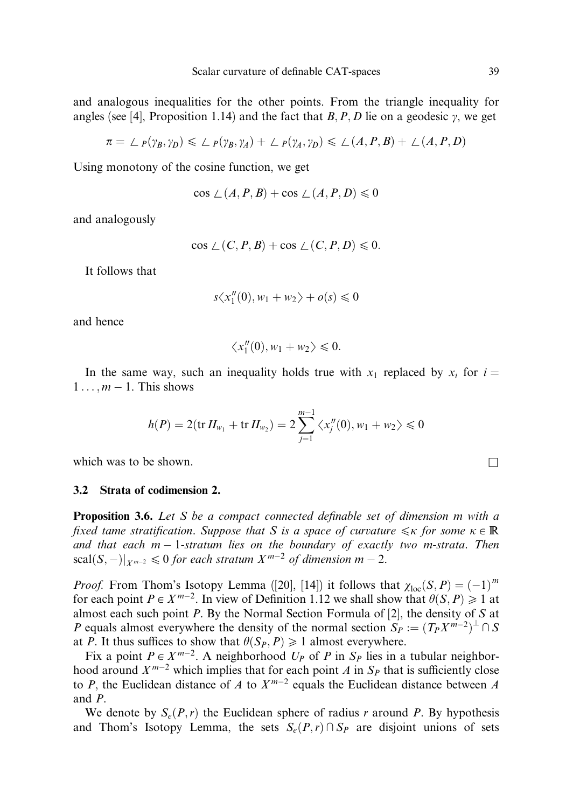and analogous inequalities for the other points. From the triangle inequality for angles (see [4], Proposition 1.14) and the fact that B, P, D lie on a geodesic  $\gamma$ , we get

$$
\pi = \angle_P(\gamma_B, \gamma_D) \leq \angle_P(\gamma_B, \gamma_A) + \angle_P(\gamma_A, \gamma_D) \leq \angle(A, P, B) + \angle(A, P, D)
$$

Using monotony of the cosine function, we get

$$
\cos \angle (A, P, B) + \cos \angle (A, P, D) \le 0
$$

and analogously

$$
\cos \angle (C, P, B) + \cos \angle (C, P, D) \leq 0.
$$

It follows that

$$
s \langle x_1''(0), w_1 + w_2 \rangle + o(s) \leq 0
$$

and hence

$$
\langle x_1''(0), w_1 + w_2 \rangle \leq 0.
$$

In the same way, such an inequality holds true with  $x_1$  replaced by  $x_i$  for  $i =$  $1 \ldots, m - 1$ . This shows

$$
h(P) = 2(\text{tr}\,H_{w_1} + \text{tr}\,H_{w_2}) = 2\sum_{j=1}^{m-1} \langle x''_j(0), w_1 + w_2 \rangle \leq 0
$$

which was to be shown.  $\Box$ 

### 3.2 Strata of codimension 2.

**Proposition 3.6.** Let S be a compact connected definable set of dimension m with a fixed tame stratification. Suppose that S is a space of curvature  $\leq k$  for some  $\kappa \in \mathbb{R}$ and that each  $m-1$ -stratum lies on the boundary of exactly two m-strata. Then  $\text{scal}(S, -)|_{X^{m-2}} \leq 0$  for each stratum  $X^{m-2}$  of dimension  $m-2$ .

*Proof.* From Thom's Isotopy Lemma ([20], [14]) it follows that  $\chi_{loc}(S, P) = (-1)^m$ for each point  $P \in X^{m-2}$ . In view of Definition 1.12 we shall show that  $\theta(S, P) \geq 1$  at almost each such point  $P$ . By the Normal Section Formula of [2], the density of  $S$  at P equals almost everywhere the density of the normal section  $S_P := (T_P X^{m-2})^{\perp} \cap S$ at P. It thus suffices to show that  $\theta(S_P, P) \geq 1$  almost everywhere.

Fix a point  $P \in X^{m-2}$ . A neighborhood  $U_P$  of P in  $S_P$  lies in a tubular neighborhood around  $X^{m-2}$  which implies that for each point A in  $S_p$  that is sufficiently close to P, the Euclidean distance of A to  $X^{m-2}$  equals the Euclidean distance between A and P.

We denote by  $S_e(P,r)$  the Euclidean sphere of radius r around P. By hypothesis and Thom's Isotopy Lemma, the sets  $S_e(P, r) \cap S_p$  are disjoint unions of sets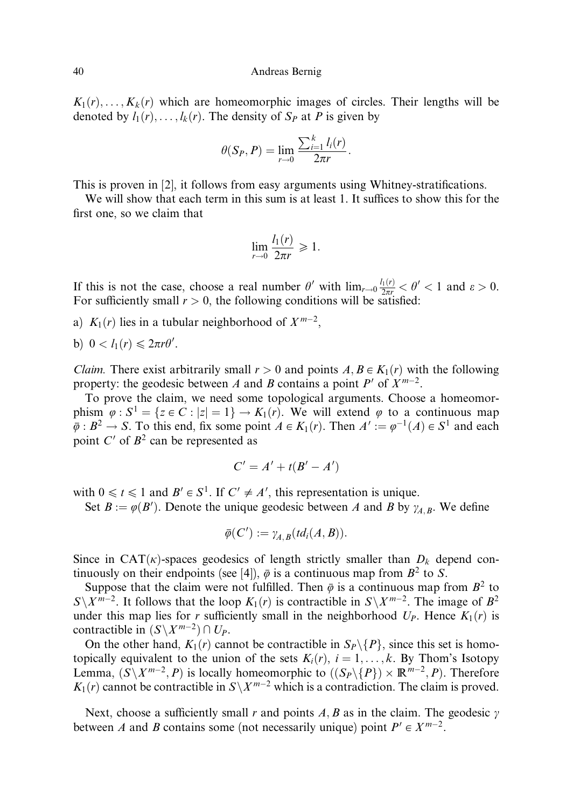$K_1(r), \ldots, K_k(r)$  which are homeomorphic images of circles. Their lengths will be denoted by  $l_1(r), \ldots, l_k(r)$ . The density of  $S_p$  at P is given by

$$
\theta(S_P, P) = \lim_{r \to 0} \frac{\sum_{i=1}^k l_i(r)}{2\pi r}.
$$

This is proven in [2], it follows from easy arguments using Whitney-stratifications.

We will show that each term in this sum is at least 1. It suffices to show this for the first one, so we claim that

$$
\lim_{r \to 0} \frac{l_1(r)}{2\pi r} \geq 1.
$$

If this is not the case, choose a real number  $\theta'$  with  $\lim_{r\to 0} \frac{l_1(r)}{2\pi r} < \theta' < 1$  and  $\varepsilon > 0$ . For sufficiently small  $r > 0$ , the following conditions will be satisfied:

- a)  $K_1(r)$  lies in a tubular neighborhood of  $X^{m-2}$ ,
- b)  $0 < l_1(r) \leq 2\pi r \theta'$ .

*Claim.* There exist arbitrarily small  $r > 0$  and points  $A, B \in K_1(r)$  with the following property: the geodesic between A and B contains a point  $P'$  of  $X^{m-2}$ .

To prove the claim, we need some topological arguments. Choose a homeomorphism  $\varphi$ :  $S^1 = \{z \in C : |z| = 1\} \rightarrow K_1(r)$ . We will extend  $\varphi$  to a continuous map  $\overline{\overline{\phi}}$  :  $B^2 \to S$ . To this end, fix some point  $A \in K_1(r)$ . Then  $A' := \varphi^{-1}(A) \in S^1$  and each point  $C'$  of  $B^2$  can be represented as

$$
C'=A'+t(B'-A')
$$

with  $0 \le t \le 1$  and  $B' \in S^1$ . If  $C' \ne A'$ , this representation is unique.

Set  $B := \varphi(B')$ . Denote the unique geodesic between A and B by  $\gamma_{A,B}$ . We define

$$
\overline{\varphi}(C') := \gamma_{A,B}(td_i(A,B)).
$$

Since in CAT $(k)$ -spaces geodesics of length strictly smaller than  $D_k$  depend continuously on their endpoints (see [4]),  $\bar{\varphi}$  is a continuous map from  $B^2$  to S.

Suppose that the claim were not fulfilled. Then  $\bar{\varphi}$  is a continuous map from  $B^2$  to  $S\setminus X^{m-2}$ . It follows that the loop  $K_1(r)$  is contractible in  $S\setminus X^{m-2}$ . The image of  $B^2$ under this map lies for r sufficiently small in the neighborhood  $U_P$ . Hence  $K_1(r)$  is contractible in  $(S\backslash X^{m-2})\cap U_P$ .

On the other hand,  $K_1(r)$  cannot be contractible in  $S_P \setminus \{P\}$ , since this set is homotopically equivalent to the union of the sets  $K_i(r)$ ,  $i = 1, \ldots, k$ . By Thom's Isotopy Lemma,  $(S\setminus X^{m-2}, P)$  is locally homeomorphic to  $((S_P\setminus\{P\})\times \mathbb{R}^{m-2}, P)$ . Therefore  $K_1(r)$  cannot be contractible in  $S\setminus X^{m-2}$  which is a contradiction. The claim is proved.

Next, choose a sufficiently small r and points  $A$ ,  $B$  as in the claim. The geodesic  $\gamma$ between A and B contains some (not necessarily unique) point  $P' \in X^{m-2}$ .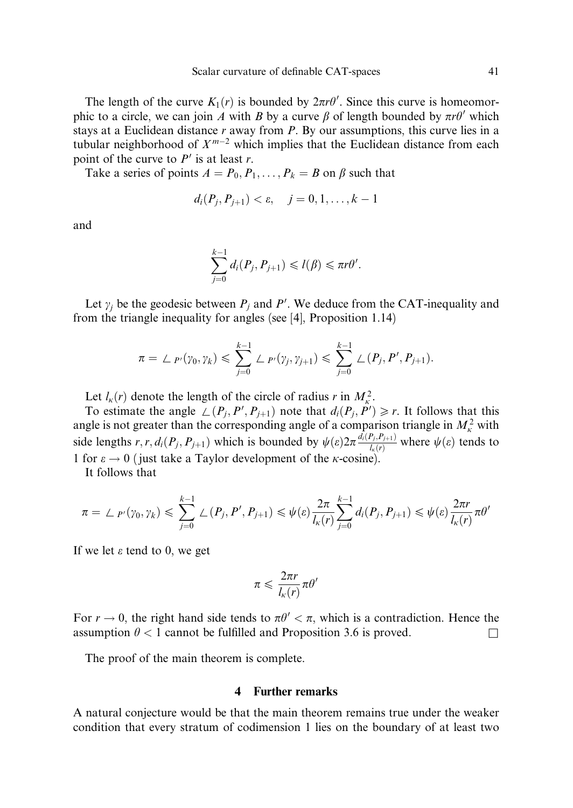The length of the curve  $K_1(r)$  is bounded by  $2\pi r\theta'$ . Since this curve is homeomorphic to a circle, we can join A with B by a curve  $\beta$  of length bounded by  $\pi r \theta'$  which stays at a Euclidean distance  $r$  away from  $P$ . By our assumptions, this curve lies in a tubular neighborhood of  $X^{m-2}$  which implies that the Euclidean distance from each point of the curve to  $P'$  is at least r.

Take a series of points  $A = P_0, P_1, \ldots, P_k = B$  on  $\beta$  such that

$$
d_i(P_j, P_{j+1}) < \varepsilon, \quad j = 0, 1, \dots, k-1
$$

and

$$
\sum_{j=0}^{k-1} d_i(P_j, P_{j+1}) \leq l(\beta) \leq \pi r \theta'.
$$

Let  $\gamma_j$  be the geodesic between  $P_j$  and P'. We deduce from the CAT-inequality and from the triangle inequality for angles (see [4], Proposition 1.14)

$$
\pi = \angle P_{\nu}(\gamma_0, \gamma_k) \leqslant \sum_{j=0}^{k-1} \angle P_{\nu}(\gamma_j, \gamma_{j+1}) \leqslant \sum_{j=0}^{k-1} \angle (P_j, P', P_{j+1}).
$$

Let  $l_k(r)$  denote the length of the circle of radius r in  $M_k^2$ .

To estimate the angle  $\perp (P_j, P', P_{j+1})$  note that  $d_i(P_j, P') \ge r$ . It follows that this angle is not greater than the corresponding angle of a comparison triangle in  $M_{\kappa}^2$  with side lengths  $r, r, d_i(P_j, P_{j+1})$  which is bounded by  $\psi(\varepsilon) 2\pi \frac{d_i(P_j, P_{j+1})}{l_k(r)}$  where  $\psi(\varepsilon)$  tends to 1 for  $\varepsilon \to 0$  ( just take a Taylor development of the *k*-cosine).

It follows that

$$
\pi = \sum_{P'}(\gamma_0, \gamma_k) \leq \sum_{j=0}^{k-1} \sum_{j=0}^{\infty} (P_j, P', P_{j+1}) \leq \psi(\varepsilon) \frac{2\pi}{l_{\kappa}(r)} \sum_{j=0}^{k-1} d_i(P_j, P_{j+1}) \leq \psi(\varepsilon) \frac{2\pi r}{l_{\kappa}(r)} \pi \theta'
$$

If we let  $\varepsilon$  tend to 0, we get

$$
\pi \leqslant \frac{2\pi r}{l_{\kappa}(r)}\pi\theta'
$$

For  $r \to 0$ , the right hand side tends to  $\pi \theta' < \pi$ , which is a contradiction. Hence the assumption  $\theta$  < 1 cannot be fulfilled and Proposition 3.6 is proved.

The proof of the main theorem is complete.

# 4 Further remarks

A natural conjecture would be that the main theorem remains true under the weaker condition that every stratum of codimension 1 lies on the boundary of at least two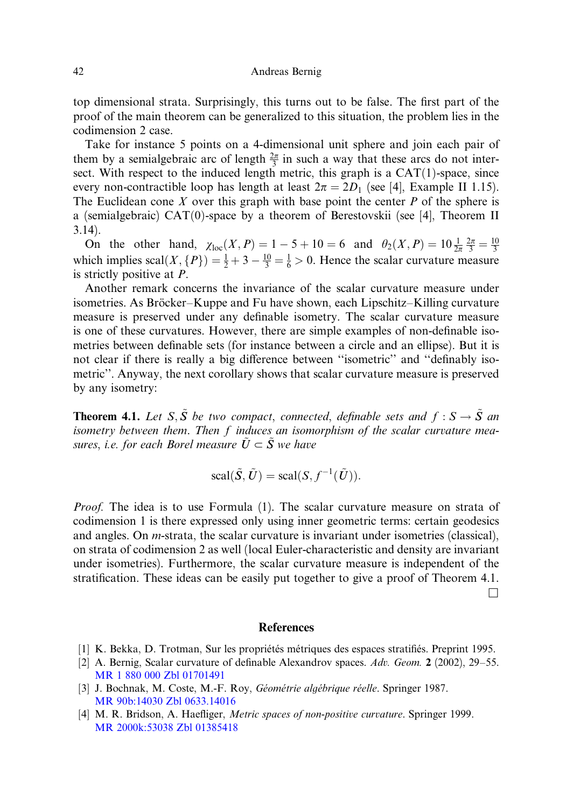top dimensional strata. Surprisingly, this turns out to be false. The first part of the proof of the main theorem can be generalized to this situation, the problem lies in the codimension 2 case.

Take for instance 5 points on a 4-dimensional unit sphere and join each pair of them by a semialgebraic arc of length  $\frac{2\pi}{3}$  in such a way that these arcs do not intersect. With respect to the induced length metric, this graph is a  $CAT(1)$ -space, since every non-contractible loop has length at least  $2\pi = 2D_1$  (see [4], Example II 1.15). The Euclidean cone  $X$  over this graph with base point the center  $P$  of the sphere is a (semialgebraic) CAT(0)-space by a theorem of Berestovskii (see [4], Theorem II 3.14).

On the other hand,  $\chi_{loc}(X, P) = 1 - 5 + 10 = 6$  and  $\theta_2(X, P) = 10 \frac{1}{2\pi} \frac{2\pi}{3} = \frac{10}{3}$ which implies  $\text{scal}(X, \{P\}) = \frac{1}{2} + 3 - \frac{10}{3} = \frac{1}{6} > 0$ . Hence the scalar curvature measure is strictly positive at P.

Another remark concerns the invariance of the scalar curvature measure under isometries. As Bröcker–Kuppe and Fu have shown, each Lipschitz–Killing curvature measure is preserved under any definable isometry. The scalar curvature measure is one of these curvatures. However, there are simple examples of non-definable isometries between definable sets (for instance between a circle and an ellipse). But it is not clear if there is really a big difference between "isometric" and "definably isometric''. Anyway, the next corollary shows that scalar curvature measure is preserved by any isometry:

**Theorem 4.1.** Let S,  $\tilde{S}$  be two compact, connected, definable sets and  $f : S \to \tilde{S}$  an isometry between them. Then f induces an isomorphism of the scalar curvature measures, i.e. for each Borel measure  $U \subset S$  we have

$$
\text{scal}(\tilde{S}, \tilde{U}) = \text{scal}(S, f^{-1}(\tilde{U})).
$$

Proof. The idea is to use Formula (1). The scalar curvature measure on strata of codimension 1 is there expressed only using inner geometric terms: certain geodesics and angles. On m-strata, the scalar curvature is invariant under isometries (classical), on strata of codimension 2 as well (local Euler-characteristic and density are invariant under isometries). Furthermore, the scalar curvature measure is independent of the stratification. These ideas can be easily put together to give a proof of Theorem 4.1.  $\Box$ 

### **References**

- [1] K. Bekka, D. Trotman, Sur les propriétés métriques des espaces stratifiés. Preprint 1995.
- [2] A. Bernig, Scalar curvature of definable Alexandrov spaces. Adv. Geom. 2 (2002), 29–55. [MR 1 880 000](http://www.ams.org/mathscinet-getitem?mr=1:880:000) [Zbl 01701491](http://www.emis.de/MATH-item?01701491)
- [3] J. Bochnak, M. Coste, M.-F. Roy, Géométrie algébrique réelle. Springer 1987. [MR 90b:14030](http://www.ams.org/mathscinet-getitem?mr=90b:14030) [Zbl 0633.14016](http://www.emis.de/MATH-item?0633.14016)
- [4] M. R. Bridson, A. Haefliger, *Metric spaces of non-positive curvature*. Springer 1999. [MR 2000k:53038](http://www.ams.org/mathscinet-getitem?mr=2000k:53038) [Zbl 01385418](http://www.emis.de/MATH-item?01385418)